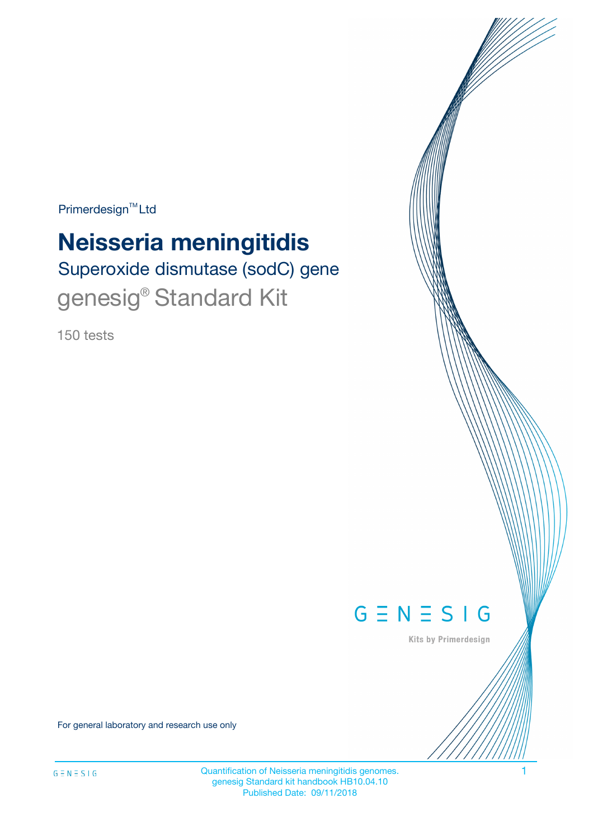$Primerdesign^{\text{TM}}Ltd$ 

# **Neisseria meningitidis**

Superoxide dismutase (sodC) gene genesig® Standard Kit

150 tests



Kits by Primerdesign

For general laboratory and research use only

Quantification of Neisseria meningitidis genomes. 1 genesig Standard kit handbook HB10.04.10 Published Date: 09/11/2018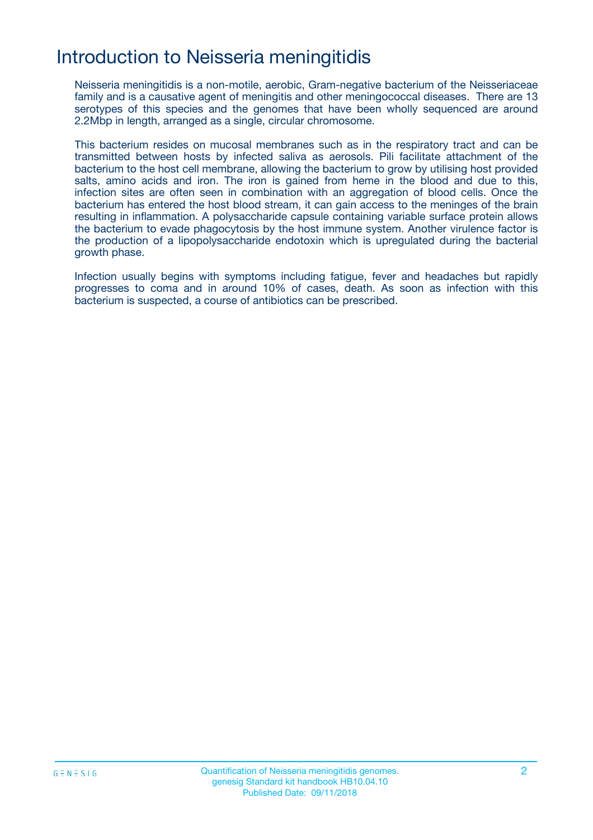## Introduction to Neisseria meningitidis

Neisseria meningitidis is a non-motile, aerobic, Gram-negative bacterium of the Neisseriaceae family and is a causative agent of meningitis and other meningococcal diseases. There are 13 serotypes of this species and the genomes that have been wholly sequenced are around 2.2Mbp in length, arranged as a single, circular chromosome.

This bacterium resides on mucosal membranes such as in the respiratory tract and can be transmitted between hosts by infected saliva as aerosols. Pili facilitate attachment of the bacterium to the host cell membrane, allowing the bacterium to grow by utilising host provided salts, amino acids and iron. The iron is gained from heme in the blood and due to this, infection sites are often seen in combination with an aggregation of blood cells. Once the bacterium has entered the host blood stream, it can gain access to the meninges of the brain resulting in inflammation. A polysaccharide capsule containing variable surface protein allows the bacterium to evade phagocytosis by the host immune system. Another virulence factor is the production of a lipopolysaccharide endotoxin which is upregulated during the bacterial growth phase.

Infection usually begins with symptoms including fatigue, fever and headaches but rapidly progresses to coma and in around 10% of cases, death. As soon as infection with this bacterium is suspected, a course of antibiotics can be prescribed.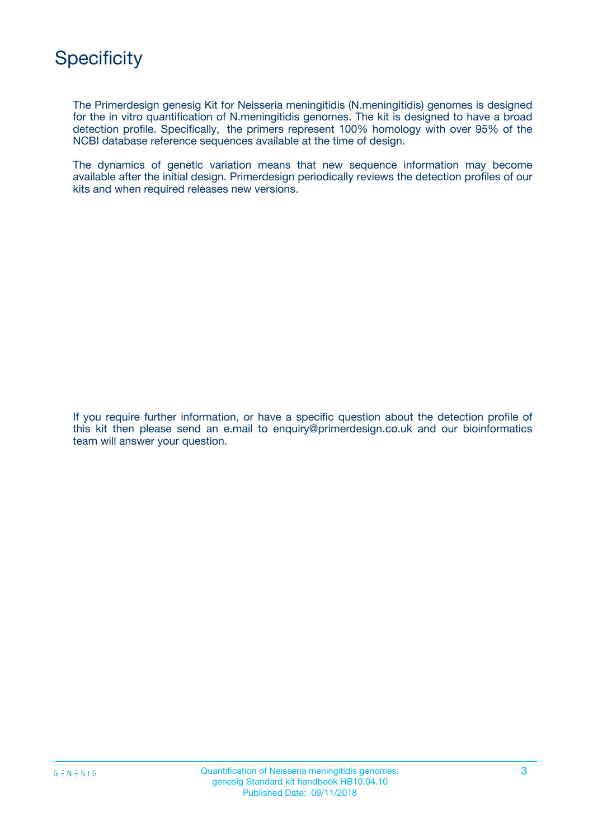

The Primerdesign genesig Kit for Neisseria meningitidis (N.meningitidis) genomes is designed for the in vitro quantification of N.meningitidis genomes. The kit is designed to have a broad detection profile. Specifically, the primers represent 100% homology with over 95% of the NCBI database reference sequences available at the time of design.

The dynamics of genetic variation means that new sequence information may become available after the initial design. Primerdesign periodically reviews the detection profiles of our kits and when required releases new versions.

If you require further information, or have a specific question about the detection profile of this kit then please send an e.mail to enquiry@primerdesign.co.uk and our bioinformatics team will answer your question.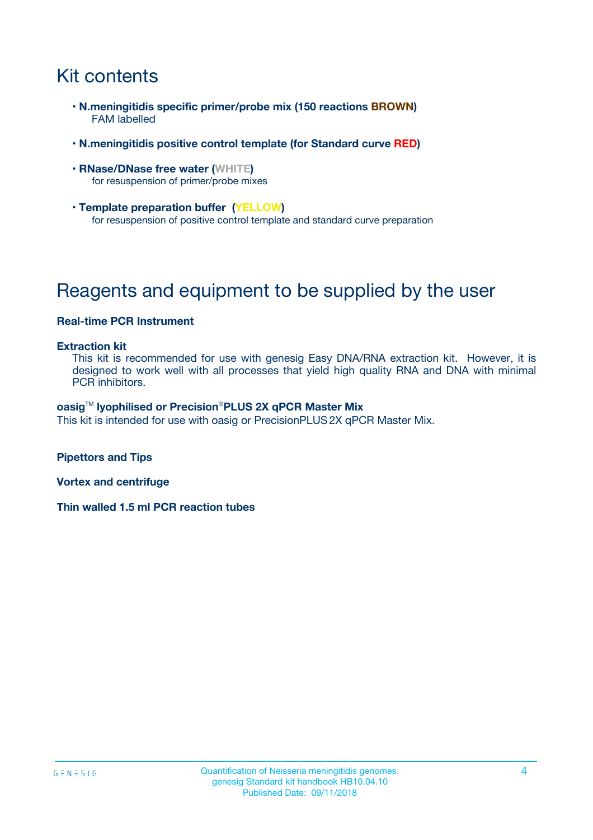# Kit contents

- **N.meningitidis specific primer/probe mix (150 reactions BROWN)** FAM labelled
- **N.meningitidis positive control template (for Standard curve RED)**
- **RNase/DNase free water (WHITE)** for resuspension of primer/probe mixes
- **Template preparation buffer (YELLOW)** for resuspension of positive control template and standard curve preparation

# Reagents and equipment to be supplied by the user

#### **Real-time PCR Instrument**

#### **Extraction kit**

This kit is recommended for use with genesig Easy DNA/RNA extraction kit. However, it is designed to work well with all processes that yield high quality RNA and DNA with minimal PCR inhibitors.

#### **oasig**TM **lyophilised or Precision**®**PLUS 2X qPCR Master Mix**

This kit is intended for use with oasig or PrecisionPLUS2X qPCR Master Mix.

**Pipettors and Tips**

**Vortex and centrifuge**

**Thin walled 1.5 ml PCR reaction tubes**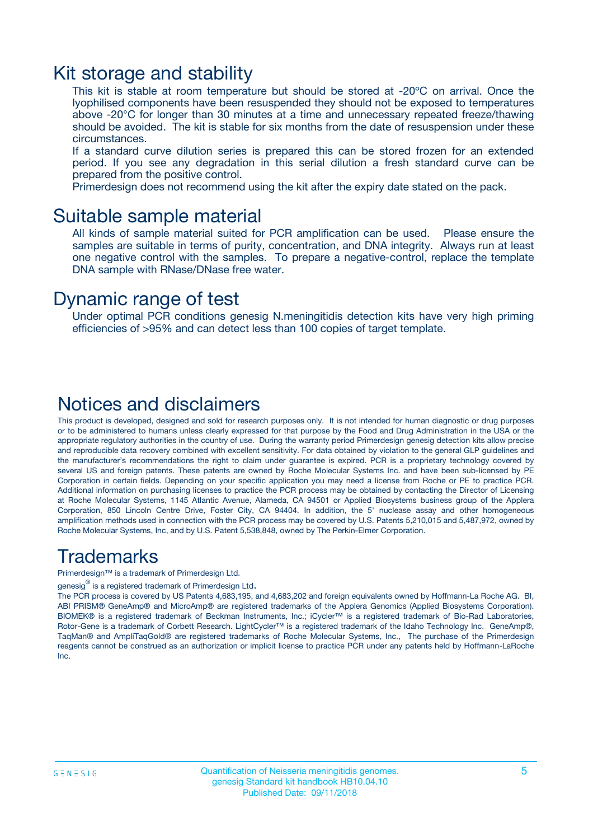### Kit storage and stability

This kit is stable at room temperature but should be stored at -20ºC on arrival. Once the lyophilised components have been resuspended they should not be exposed to temperatures above -20°C for longer than 30 minutes at a time and unnecessary repeated freeze/thawing should be avoided. The kit is stable for six months from the date of resuspension under these circumstances.

If a standard curve dilution series is prepared this can be stored frozen for an extended period. If you see any degradation in this serial dilution a fresh standard curve can be prepared from the positive control.

Primerdesign does not recommend using the kit after the expiry date stated on the pack.

### Suitable sample material

All kinds of sample material suited for PCR amplification can be used. Please ensure the samples are suitable in terms of purity, concentration, and DNA integrity. Always run at least one negative control with the samples. To prepare a negative-control, replace the template DNA sample with RNase/DNase free water.

### Dynamic range of test

Under optimal PCR conditions genesig N.meningitidis detection kits have very high priming efficiencies of >95% and can detect less than 100 copies of target template.

### Notices and disclaimers

This product is developed, designed and sold for research purposes only. It is not intended for human diagnostic or drug purposes or to be administered to humans unless clearly expressed for that purpose by the Food and Drug Administration in the USA or the appropriate regulatory authorities in the country of use. During the warranty period Primerdesign genesig detection kits allow precise and reproducible data recovery combined with excellent sensitivity. For data obtained by violation to the general GLP guidelines and the manufacturer's recommendations the right to claim under guarantee is expired. PCR is a proprietary technology covered by several US and foreign patents. These patents are owned by Roche Molecular Systems Inc. and have been sub-licensed by PE Corporation in certain fields. Depending on your specific application you may need a license from Roche or PE to practice PCR. Additional information on purchasing licenses to practice the PCR process may be obtained by contacting the Director of Licensing at Roche Molecular Systems, 1145 Atlantic Avenue, Alameda, CA 94501 or Applied Biosystems business group of the Applera Corporation, 850 Lincoln Centre Drive, Foster City, CA 94404. In addition, the 5' nuclease assay and other homogeneous amplification methods used in connection with the PCR process may be covered by U.S. Patents 5,210,015 and 5,487,972, owned by Roche Molecular Systems, Inc, and by U.S. Patent 5,538,848, owned by The Perkin-Elmer Corporation.

### Trademarks

Primerdesign™ is a trademark of Primerdesign Ltd.

genesig $^\circledR$  is a registered trademark of Primerdesign Ltd.

The PCR process is covered by US Patents 4,683,195, and 4,683,202 and foreign equivalents owned by Hoffmann-La Roche AG. BI, ABI PRISM® GeneAmp® and MicroAmp® are registered trademarks of the Applera Genomics (Applied Biosystems Corporation). BIOMEK® is a registered trademark of Beckman Instruments, Inc.; iCycler™ is a registered trademark of Bio-Rad Laboratories, Rotor-Gene is a trademark of Corbett Research. LightCycler™ is a registered trademark of the Idaho Technology Inc. GeneAmp®, TaqMan® and AmpliTaqGold® are registered trademarks of Roche Molecular Systems, Inc., The purchase of the Primerdesign reagents cannot be construed as an authorization or implicit license to practice PCR under any patents held by Hoffmann-LaRoche Inc.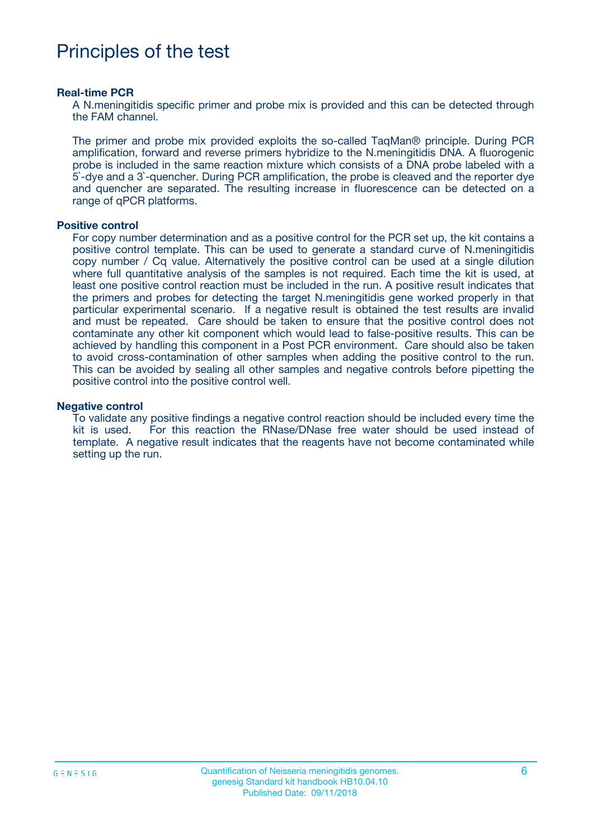# Principles of the test

#### **Real-time PCR**

A N.meningitidis specific primer and probe mix is provided and this can be detected through the FAM channel.

The primer and probe mix provided exploits the so-called TaqMan® principle. During PCR amplification, forward and reverse primers hybridize to the N.meningitidis DNA. A fluorogenic probe is included in the same reaction mixture which consists of a DNA probe labeled with a 5`-dye and a 3`-quencher. During PCR amplification, the probe is cleaved and the reporter dye and quencher are separated. The resulting increase in fluorescence can be detected on a range of qPCR platforms.

#### **Positive control**

For copy number determination and as a positive control for the PCR set up, the kit contains a positive control template. This can be used to generate a standard curve of N.meningitidis copy number / Cq value. Alternatively the positive control can be used at a single dilution where full quantitative analysis of the samples is not required. Each time the kit is used, at least one positive control reaction must be included in the run. A positive result indicates that the primers and probes for detecting the target N.meningitidis gene worked properly in that particular experimental scenario. If a negative result is obtained the test results are invalid and must be repeated. Care should be taken to ensure that the positive control does not contaminate any other kit component which would lead to false-positive results. This can be achieved by handling this component in a Post PCR environment. Care should also be taken to avoid cross-contamination of other samples when adding the positive control to the run. This can be avoided by sealing all other samples and negative controls before pipetting the positive control into the positive control well.

#### **Negative control**

To validate any positive findings a negative control reaction should be included every time the kit is used. For this reaction the RNase/DNase free water should be used instead of template. A negative result indicates that the reagents have not become contaminated while setting up the run.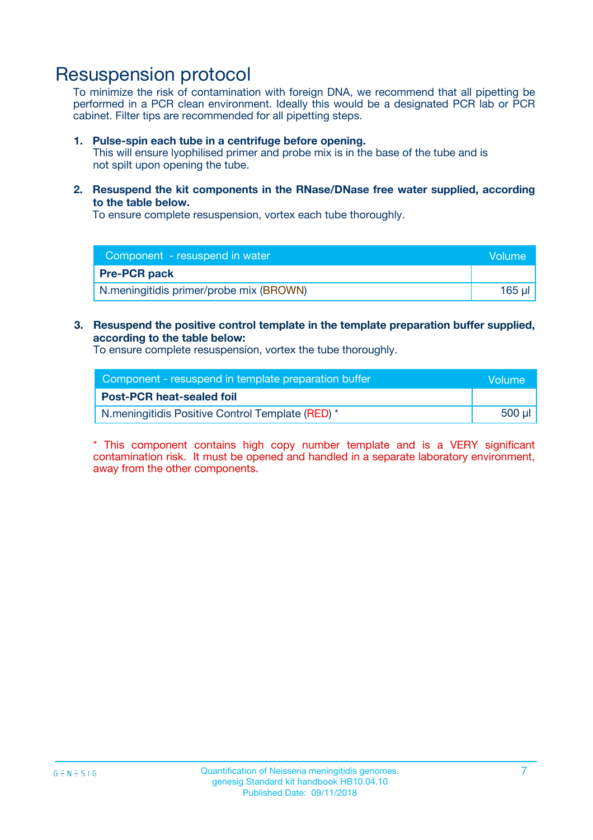## Resuspension protocol

To minimize the risk of contamination with foreign DNA, we recommend that all pipetting be performed in a PCR clean environment. Ideally this would be a designated PCR lab or PCR cabinet. Filter tips are recommended for all pipetting steps.

#### **1. Pulse-spin each tube in a centrifuge before opening.**

This will ensure lyophilised primer and probe mix is in the base of the tube and is not spilt upon opening the tube.

**2. Resuspend the kit components in the RNase/DNase free water supplied, according to the table below.**

To ensure complete resuspension, vortex each tube thoroughly.

| Component - resuspend in water          | Volume |
|-----------------------------------------|--------|
| <b>Pre-PCR pack</b>                     |        |
| N.meningitidis primer/probe mix (BROWN) | 165 ul |

### **3. Resuspend the positive control template in the template preparation buffer supplied, according to the table below:**

To ensure complete resuspension, vortex the tube thoroughly.

| Component - resuspend in template preparation buffer | <b>Nolume</b> |
|------------------------------------------------------|---------------|
| <b>Post-PCR heat-sealed foil</b>                     |               |
| N.meningitidis Positive Control Template (RED) *     | 500 µl        |

\* This component contains high copy number template and is a VERY significant contamination risk. It must be opened and handled in a separate laboratory environment, away from the other components.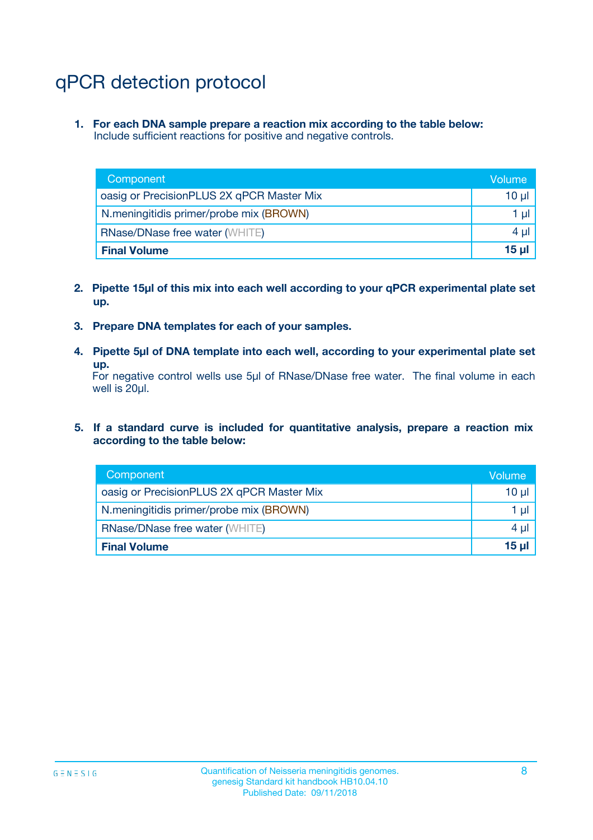# qPCR detection protocol

**1. For each DNA sample prepare a reaction mix according to the table below:** Include sufficient reactions for positive and negative controls.

| Component                                 | Volume   |
|-------------------------------------------|----------|
| oasig or PrecisionPLUS 2X qPCR Master Mix | 10 $\mu$ |
| N.meningitidis primer/probe mix (BROWN)   | 1 $\mu$  |
| <b>RNase/DNase free water (WHITE)</b>     | $4 \mu$  |
| <b>Final Volume</b>                       | 15 ul    |

- **2. Pipette 15µl of this mix into each well according to your qPCR experimental plate set up.**
- **3. Prepare DNA templates for each of your samples.**
- **4. Pipette 5µl of DNA template into each well, according to your experimental plate set up.**

For negative control wells use 5µl of RNase/DNase free water. The final volume in each well is 20µl.

**5. If a standard curve is included for quantitative analysis, prepare a reaction mix according to the table below:**

| Component                                 | Volume          |
|-------------------------------------------|-----------------|
| oasig or PrecisionPLUS 2X qPCR Master Mix | 10 µl           |
| N.meningitidis primer/probe mix (BROWN)   | 1 µI            |
| <b>RNase/DNase free water (WHITE)</b>     | $4 \mu$         |
| <b>Final Volume</b>                       | 15 <sub>µ</sub> |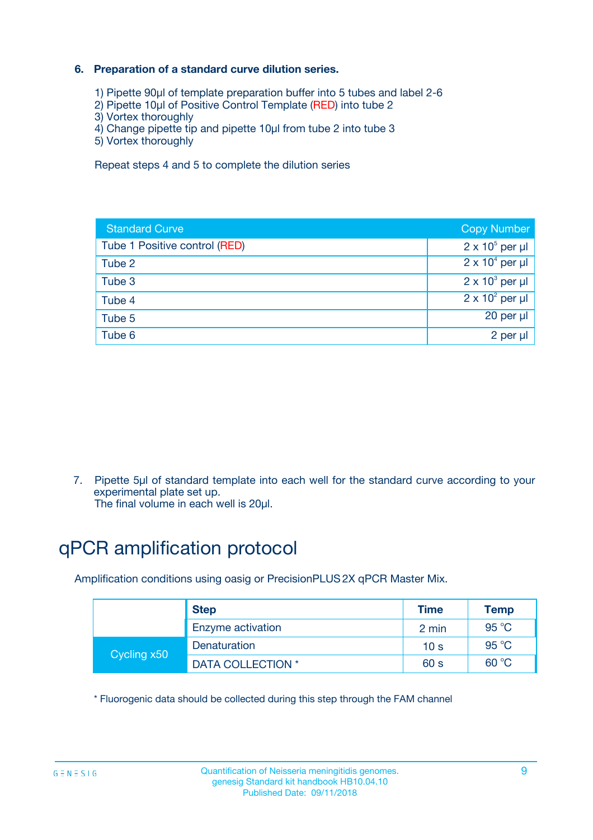### **6. Preparation of a standard curve dilution series.**

- 1) Pipette 90µl of template preparation buffer into 5 tubes and label 2-6
- 2) Pipette 10µl of Positive Control Template (RED) into tube 2
- 3) Vortex thoroughly
- 4) Change pipette tip and pipette 10µl from tube 2 into tube 3
- 5) Vortex thoroughly

Repeat steps 4 and 5 to complete the dilution series

| <b>Standard Curve</b>         | <b>Copy Number</b>     |
|-------------------------------|------------------------|
| Tube 1 Positive control (RED) | $2 \times 10^5$ per µl |
| Tube 2                        | $2 \times 10^4$ per µl |
| Tube 3                        | $2 \times 10^3$ per µl |
| Tube 4                        | $2 \times 10^2$ per µl |
| Tube 5                        | 20 per µl              |
| Tube 6                        | 2 per ul               |

7. Pipette 5µl of standard template into each well for the standard curve according to your experimental plate set up.

The final volume in each well is 20µl.

# qPCR amplification protocol

Amplification conditions using oasig or PrecisionPLUS2X qPCR Master Mix.

|             | <b>Step</b>       | <b>Time</b>     | Temp           |
|-------------|-------------------|-----------------|----------------|
|             | Enzyme activation | 2 min           | $95^{\circ}$ C |
| Cycling x50 | Denaturation      | 10 <sub>s</sub> | 95 $°C$        |
|             | DATA COLLECTION * | 60 s            | 60 °C          |

\* Fluorogenic data should be collected during this step through the FAM channel